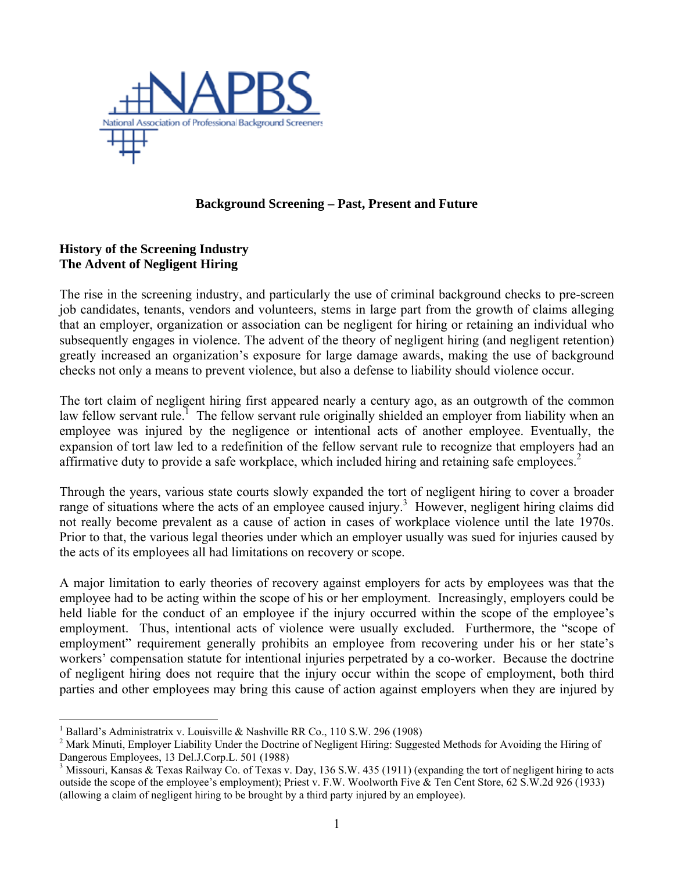

# **Background Screening – Past, Present and Future**

# **History of the Screening Industry The Advent of Negligent Hiring**

The rise in the screening industry, and particularly the use of criminal background checks to pre-screen job candidates, tenants, vendors and volunteers, stems in large part from the growth of claims alleging that an employer, organization or association can be negligent for hiring or retaining an individual who subsequently engages in violence. The advent of the theory of negligent hiring (and negligent retention) greatly increased an organization's exposure for large damage awards, making the use of background checks not only a means to prevent violence, but also a defense to liability should violence occur.

The tort claim of negligent hiring first appeared nearly a century ago, as an outgrowth of the common law fellow servant rule.<sup>1</sup> The fellow servant rule originally shielded an employer from liability when an employee was injured by the negligence or intentional acts of another employee. Eventually, the expansion of tort law led to a redefinition of the fellow servant rule to recognize that employers had an affirmative duty to provide a safe workplace, which included hiring and retaining safe employees.<sup>2</sup>

Through the years, various state courts slowly expanded the tort of negligent hiring to cover a broader range of situations where the acts of an employee caused injury.<sup>3</sup> However, negligent hiring claims did not really become prevalent as a cause of action in cases of workplace violence until the late 1970s. Prior to that, the various legal theories under which an employer usually was sued for injuries caused by the acts of its employees all had limitations on recovery or scope.

A major limitation to early theories of recovery against employers for acts by employees was that the employee had to be acting within the scope of his or her employment. Increasingly, employers could be held liable for the conduct of an employee if the injury occurred within the scope of the employee's employment. Thus, intentional acts of violence were usually excluded. Furthermore, the "scope of employment" requirement generally prohibits an employee from recovering under his or her state's workers' compensation statute for intentional injuries perpetrated by a co-worker. Because the doctrine of negligent hiring does not require that the injury occur within the scope of employment, both third parties and other employees may bring this cause of action against employers when they are injured by

 $\overline{a}$ 

<sup>1</sup> Ballard's Administratrix v. Louisville & Nashville RR Co., 110 S.W. 296 (1908)

<sup>&</sup>lt;sup>2</sup> Mark Minuti, Employer Liability Under the Doctrine of Negligent Hiring: Suggested Methods for Avoiding the Hiring of Dangerous Employees, 13 Del.J.Corp.L. 501 (1988)

<sup>&</sup>lt;sup>3</sup> Missouri, Kansas & Texas Railway Co. of Texas v. Day, 136 S.W. 435 (1911) (expanding the tort of negligent hiring to acts outside the scope of the employee's employment); Priest v. F.W. Woolworth Five & Ten Cent Store, 62 S.W.2d 926 (1933) (allowing a claim of negligent hiring to be brought by a third party injured by an employee).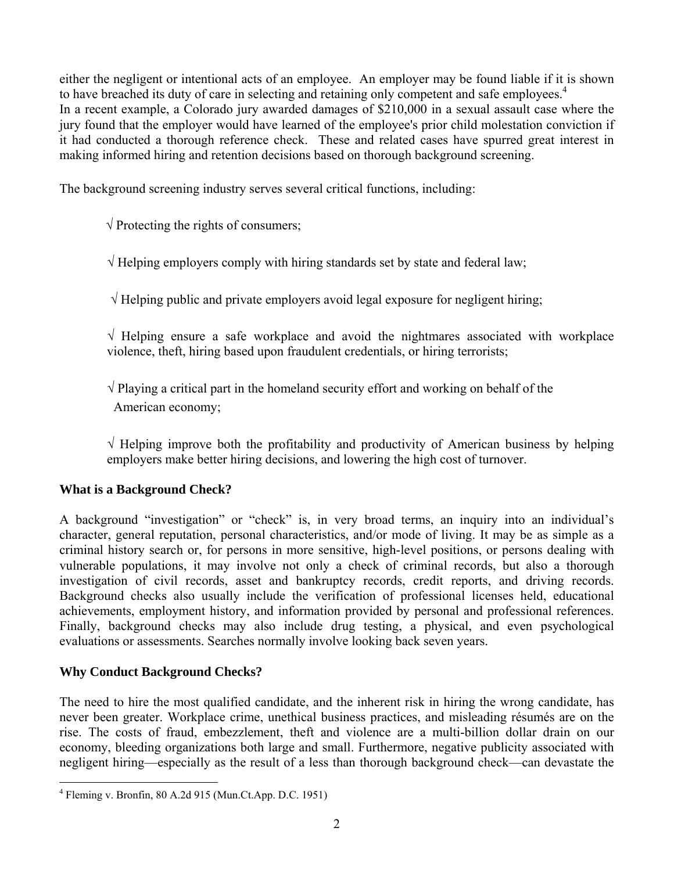either the negligent or intentional acts of an employee. An employer may be found liable if it is shown to have breached its duty of care in selecting and retaining only competent and safe employees.<sup>4</sup> In a recent example, a Colorado jury awarded damages of \$210,000 in a sexual assault case where the jury found that the employer would have learned of the employee's prior child molestation conviction if it had conducted a thorough reference check. These and related cases have spurred great interest in making informed hiring and retention decisions based on thorough background screening.

The background screening industry serves several critical functions, including:

 $\sqrt{\frac{1}{2}}$  Protecting the rights of consumers;

 $\sqrt{\frac{1}{2}}$  Helping employers comply with hiring standards set by state and federal law;

 $\sqrt{ }$  Helping public and private employers avoid legal exposure for negligent hiring;

 $\sqrt{\frac{1}{1}}$  Helping ensure a safe workplace and avoid the nightmares associated with workplace violence, theft, hiring based upon fraudulent credentials, or hiring terrorists;

 $\sqrt{\frac{p}{q}}$  Playing a critical part in the homeland security effort and working on behalf of the American economy;

 $\sqrt{ }$  Helping improve both the profitability and productivity of American business by helping employers make better hiring decisions, and lowering the high cost of turnover.

# **What is a Background Check?**

A background "investigation" or "check" is, in very broad terms, an inquiry into an individual's character, general reputation, personal characteristics, and/or mode of living. It may be as simple as a criminal history search or, for persons in more sensitive, high-level positions, or persons dealing with vulnerable populations, it may involve not only a check of criminal records, but also a thorough investigation of civil records, asset and bankruptcy records, credit reports, and driving records. Background checks also usually include the verification of professional licenses held, educational achievements, employment history, and information provided by personal and professional references. Finally, background checks may also include drug testing, a physical, and even psychological evaluations or assessments. Searches normally involve looking back seven years.

# **Why Conduct Background Checks?**

The need to hire the most qualified candidate, and the inherent risk in hiring the wrong candidate, has never been greater. Workplace crime, unethical business practices, and misleading résumés are on the rise. The costs of fraud, embezzlement, theft and violence are a multi-billion dollar drain on our economy, bleeding organizations both large and small. Furthermore, negative publicity associated with negligent hiring—especially as the result of a less than thorough background check—can devastate the

 4 Fleming v. Bronfin, 80 A.2d 915 (Mun.Ct.App. D.C. 1951)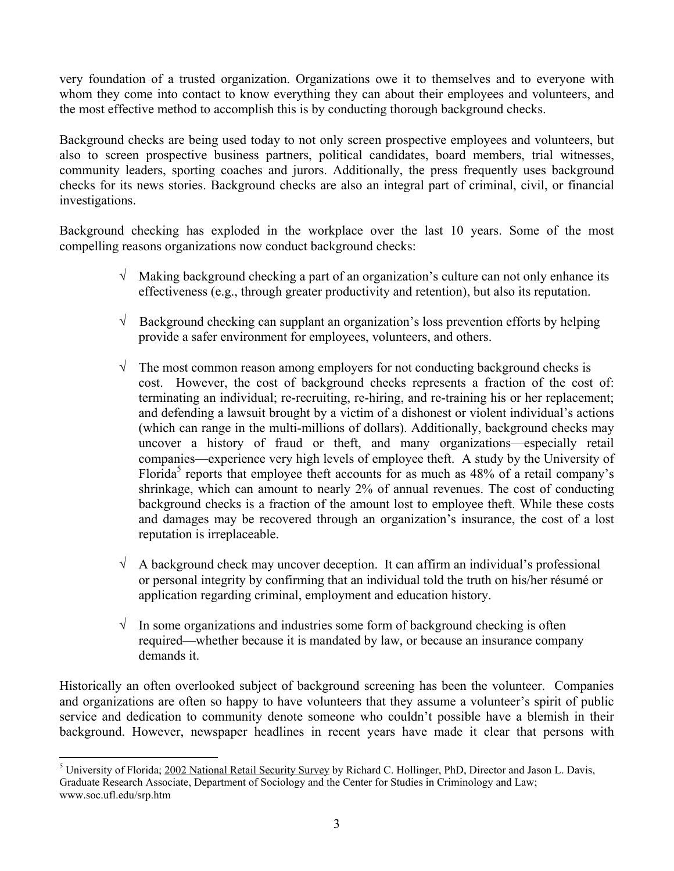very foundation of a trusted organization. Organizations owe it to themselves and to everyone with whom they come into contact to know everything they can about their employees and volunteers, and the most effective method to accomplish this is by conducting thorough background checks.

Background checks are being used today to not only screen prospective employees and volunteers, but also to screen prospective business partners, political candidates, board members, trial witnesses, community leaders, sporting coaches and jurors. Additionally, the press frequently uses background checks for its news stories. Background checks are also an integral part of criminal, civil, or financial investigations.

Background checking has exploded in the workplace over the last 10 years. Some of the most compelling reasons organizations now conduct background checks:

- $\sqrt{\phantom{a}}$  Making background checking a part of an organization's culture can not only enhance its effectiveness (e.g., through greater productivity and retention), but also its reputation.
- $\sqrt{\phantom{a}}$  Background checking can supplant an organization's loss prevention efforts by helping provide a safer environment for employees, volunteers, and others.
- $\sqrt{\phantom{a}}$  The most common reason among employers for not conducting background checks is cost. However, the cost of background checks represents a fraction of the cost of: terminating an individual; re-recruiting, re-hiring, and re-training his or her replacement; and defending a lawsuit brought by a victim of a dishonest or violent individual's actions (which can range in the multi-millions of dollars). Additionally, background checks may uncover a history of fraud or theft, and many organizations—especially retail companies—experience very high levels of employee theft. A study by the University of Florida<sup>5</sup> reports that employee theft accounts for as much as  $48\%$  of a retail company's shrinkage, which can amount to nearly 2% of annual revenues. The cost of conducting background checks is a fraction of the amount lost to employee theft. While these costs and damages may be recovered through an organization's insurance, the cost of a lost reputation is irreplaceable.
- $\sqrt{\phantom{a}}$  A background check may uncover deception. It can affirm an individual's professional or personal integrity by confirming that an individual told the truth on his/her résumé or application regarding criminal, employment and education history.
- $\sqrt{\phantom{a}}$  In some organizations and industries some form of background checking is often required—whether because it is mandated by law, or because an insurance company demands it.

Historically an often overlooked subject of background screening has been the volunteer. Companies and organizations are often so happy to have volunteers that they assume a volunteer's spirit of public service and dedication to community denote someone who couldn't possible have a blemish in their background. However, newspaper headlines in recent years have made it clear that persons with

1

<sup>&</sup>lt;sup>5</sup> University of Florida; 2002 National Retail Security Survey by Richard C. Hollinger, PhD, Director and Jason L. Davis, Graduate Research Associate, Department of Sociology and the Center for Studies in Criminology and Law; www.soc.ufl.edu/srp.htm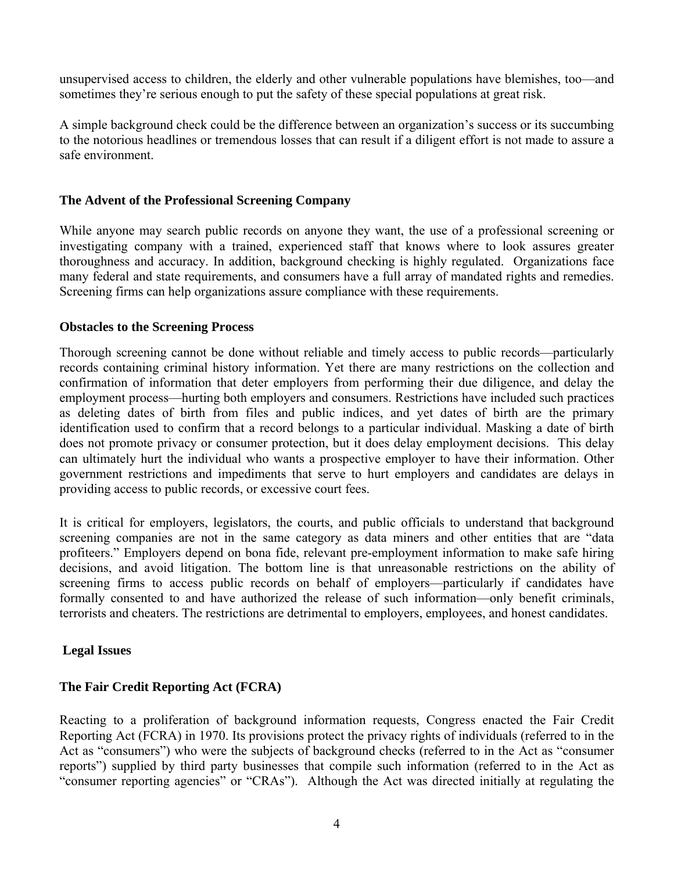unsupervised access to children, the elderly and other vulnerable populations have blemishes, too—and sometimes they're serious enough to put the safety of these special populations at great risk.

A simple background check could be the difference between an organization's success or its succumbing to the notorious headlines or tremendous losses that can result if a diligent effort is not made to assure a safe environment.

## **The Advent of the Professional Screening Company**

While anyone may search public records on anyone they want, the use of a professional screening or investigating company with a trained, experienced staff that knows where to look assures greater thoroughness and accuracy. In addition, background checking is highly regulated. Organizations face many federal and state requirements, and consumers have a full array of mandated rights and remedies. Screening firms can help organizations assure compliance with these requirements.

## **Obstacles to the Screening Process**

Thorough screening cannot be done without reliable and timely access to public records—particularly records containing criminal history information. Yet there are many restrictions on the collection and confirmation of information that deter employers from performing their due diligence, and delay the employment process—hurting both employers and consumers. Restrictions have included such practices as deleting dates of birth from files and public indices, and yet dates of birth are the primary identification used to confirm that a record belongs to a particular individual. Masking a date of birth does not promote privacy or consumer protection, but it does delay employment decisions. This delay can ultimately hurt the individual who wants a prospective employer to have their information. Other government restrictions and impediments that serve to hurt employers and candidates are delays in providing access to public records, or excessive court fees.

It is critical for employers, legislators, the courts, and public officials to understand that background screening companies are not in the same category as data miners and other entities that are "data profiteers." Employers depend on bona fide, relevant pre-employment information to make safe hiring decisions, and avoid litigation. The bottom line is that unreasonable restrictions on the ability of screening firms to access public records on behalf of employers—particularly if candidates have formally consented to and have authorized the release of such information—only benefit criminals, terrorists and cheaters. The restrictions are detrimental to employers, employees, and honest candidates.

# **Legal Issues**

# **The Fair Credit Reporting Act (FCRA)**

Reacting to a proliferation of background information requests, Congress enacted the Fair Credit Reporting Act (FCRA) in 1970. Its provisions protect the privacy rights of individuals (referred to in the Act as "consumers") who were the subjects of background checks (referred to in the Act as "consumer reports") supplied by third party businesses that compile such information (referred to in the Act as "consumer reporting agencies" or "CRAs"). Although the Act was directed initially at regulating the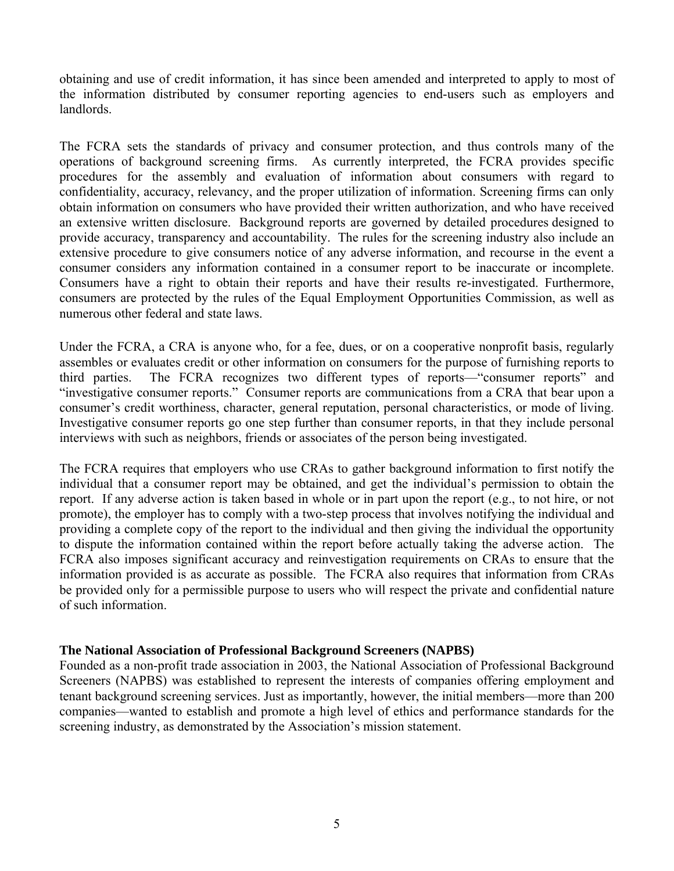obtaining and use of credit information, it has since been amended and interpreted to apply to most of the information distributed by consumer reporting agencies to end-users such as employers and landlords.

The FCRA sets the standards of privacy and consumer protection, and thus controls many of the operations of background screening firms. As currently interpreted, the FCRA provides specific procedures for the assembly and evaluation of information about consumers with regard to confidentiality, accuracy, relevancy, and the proper utilization of information. Screening firms can only obtain information on consumers who have provided their written authorization, and who have received an extensive written disclosure. Background reports are governed by detailed procedures designed to provide accuracy, transparency and accountability. The rules for the screening industry also include an extensive procedure to give consumers notice of any adverse information, and recourse in the event a consumer considers any information contained in a consumer report to be inaccurate or incomplete. Consumers have a right to obtain their reports and have their results re-investigated. Furthermore, consumers are protected by the rules of the Equal Employment Opportunities Commission, as well as numerous other federal and state laws.

Under the FCRA, a CRA is anyone who, for a fee, dues, or on a cooperative nonprofit basis, regularly assembles or evaluates credit or other information on consumers for the purpose of furnishing reports to third parties. The FCRA recognizes two different types of reports—"consumer reports" and "investigative consumer reports." Consumer reports are communications from a CRA that bear upon a consumer's credit worthiness, character, general reputation, personal characteristics, or mode of living. Investigative consumer reports go one step further than consumer reports, in that they include personal interviews with such as neighbors, friends or associates of the person being investigated.

The FCRA requires that employers who use CRAs to gather background information to first notify the individual that a consumer report may be obtained, and get the individual's permission to obtain the report. If any adverse action is taken based in whole or in part upon the report (e.g., to not hire, or not promote), the employer has to comply with a two-step process that involves notifying the individual and providing a complete copy of the report to the individual and then giving the individual the opportunity to dispute the information contained within the report before actually taking the adverse action. The FCRA also imposes significant accuracy and reinvestigation requirements on CRAs to ensure that the information provided is as accurate as possible. The FCRA also requires that information from CRAs be provided only for a permissible purpose to users who will respect the private and confidential nature of such information.

#### **The National Association of Professional Background Screeners (NAPBS)**

Founded as a non-profit trade association in 2003, the National Association of Professional Background Screeners (NAPBS) was established to represent the interests of companies offering employment and tenant background screening services. Just as importantly, however, the initial members—more than 200 companies—wanted to establish and promote a high level of ethics and performance standards for the screening industry, as demonstrated by the Association's mission statement.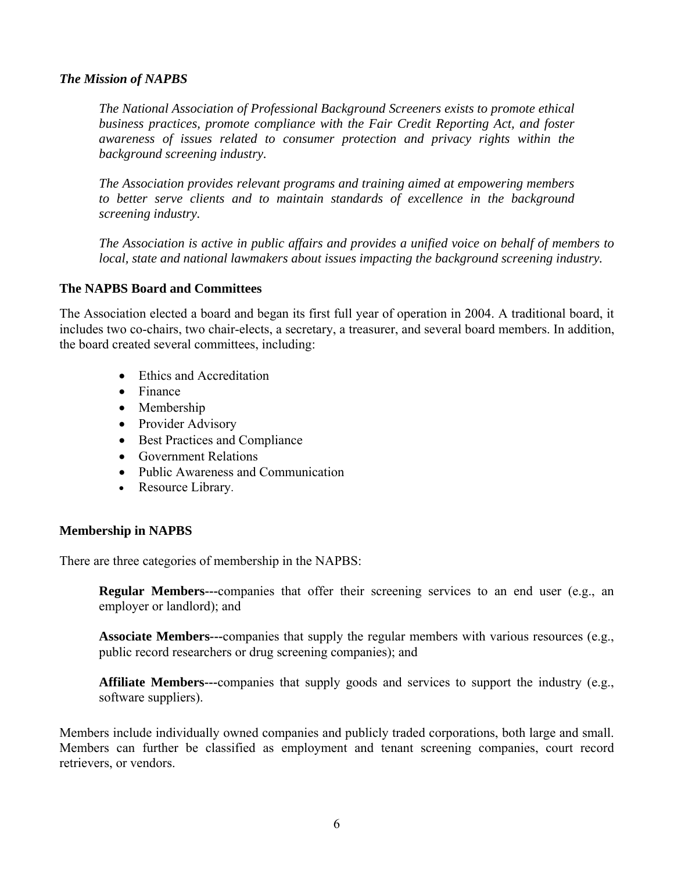#### *The Mission of NAPBS*

*The National Association of Professional Background Screeners exists to promote ethical business practices, promote compliance with the Fair Credit Reporting Act, and foster awareness of issues related to consumer protection and privacy rights within the background screening industry.* 

*The Association provides relevant programs and training aimed at empowering members*  to better serve clients and to maintain standards of excellence in the background *screening industry.* 

*The Association is active in public affairs and provides a unified voice on behalf of members to local, state and national lawmakers about issues impacting the background screening industry.* 

#### **The NAPBS Board and Committees**

The Association elected a board and began its first full year of operation in 2004. A traditional board, it includes two co-chairs, two chair-elects, a secretary, a treasurer, and several board members. In addition, the board created several committees, including:

- Ethics and Accreditation
- Finance
- Membership
- Provider Advisory
- Best Practices and Compliance
- Government Relations
- Public Awareness and Communication
- Resource Library.

#### **Membership in NAPBS**

There are three categories of membership in the NAPBS:

**Regular Members---**companies that offer their screening services to an end user (e.g., an employer or landlord); and

**Associate Members---**companies that supply the regular members with various resources (e.g., public record researchers or drug screening companies); and

**Affiliate Members---**companies that supply goods and services to support the industry (e.g., software suppliers).

Members include individually owned companies and publicly traded corporations, both large and small. Members can further be classified as employment and tenant screening companies, court record retrievers, or vendors.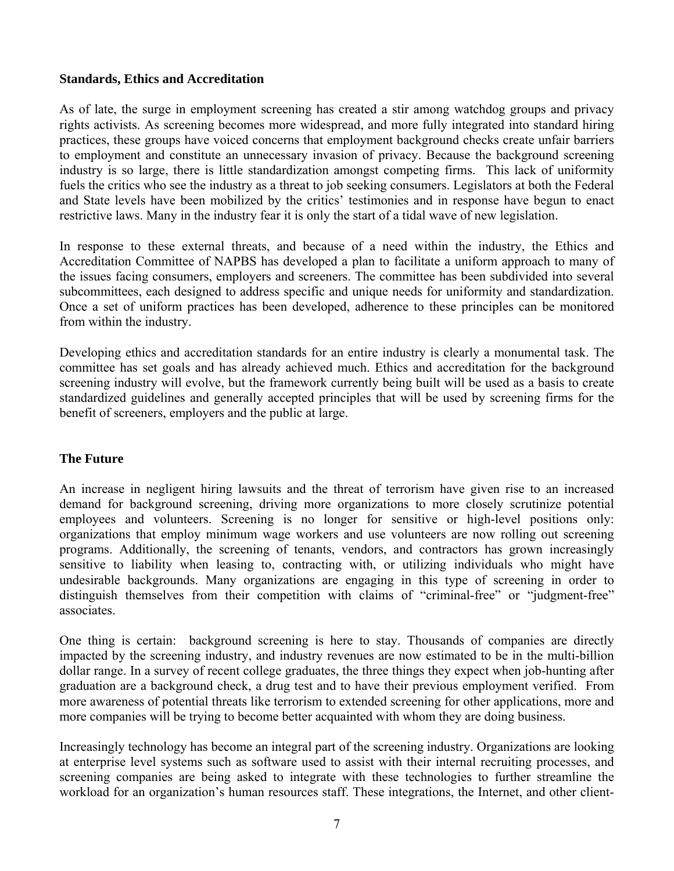## **Standards, Ethics and Accreditation**

As of late, the surge in employment screening has created a stir among watchdog groups and privacy rights activists. As screening becomes more widespread, and more fully integrated into standard hiring practices, these groups have voiced concerns that employment background checks create unfair barriers to employment and constitute an unnecessary invasion of privacy. Because the background screening industry is so large, there is little standardization amongst competing firms. This lack of uniformity fuels the critics who see the industry as a threat to job seeking consumers. Legislators at both the Federal and State levels have been mobilized by the critics' testimonies and in response have begun to enact restrictive laws. Many in the industry fear it is only the start of a tidal wave of new legislation.

In response to these external threats, and because of a need within the industry, the Ethics and Accreditation Committee of NAPBS has developed a plan to facilitate a uniform approach to many of the issues facing consumers, employers and screeners. The committee has been subdivided into several subcommittees, each designed to address specific and unique needs for uniformity and standardization. Once a set of uniform practices has been developed, adherence to these principles can be monitored from within the industry.

Developing ethics and accreditation standards for an entire industry is clearly a monumental task. The committee has set goals and has already achieved much. Ethics and accreditation for the background screening industry will evolve, but the framework currently being built will be used as a basis to create standardized guidelines and generally accepted principles that will be used by screening firms for the benefit of screeners, employers and the public at large.

#### **The Future**

An increase in negligent hiring lawsuits and the threat of terrorism have given rise to an increased demand for background screening, driving more organizations to more closely scrutinize potential employees and volunteers. Screening is no longer for sensitive or high-level positions only: organizations that employ minimum wage workers and use volunteers are now rolling out screening programs. Additionally, the screening of tenants, vendors, and contractors has grown increasingly sensitive to liability when leasing to, contracting with, or utilizing individuals who might have undesirable backgrounds. Many organizations are engaging in this type of screening in order to distinguish themselves from their competition with claims of "criminal-free" or "judgment-free" associates.

One thing is certain: background screening is here to stay. Thousands of companies are directly impacted by the screening industry, and industry revenues are now estimated to be in the multi-billion dollar range. In a survey of recent college graduates, the three things they expect when job-hunting after graduation are a background check, a drug test and to have their previous employment verified. From more awareness of potential threats like terrorism to extended screening for other applications, more and more companies will be trying to become better acquainted with whom they are doing business.

Increasingly technology has become an integral part of the screening industry. Organizations are looking at enterprise level systems such as software used to assist with their internal recruiting processes, and screening companies are being asked to integrate with these technologies to further streamline the workload for an organization's human resources staff. These integrations, the Internet, and other client